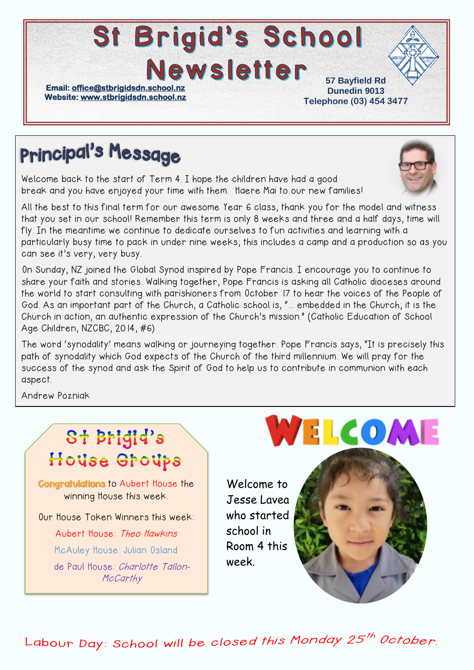#### St Brigid's School **Newsletter 57 Bayfield Rd Email: [office@stbrigidsdn.school.nz](mailto:office@stbrigidsdn.school.nz)  Dunedin 9013 Website: [www.stbrigidsdn.school.nz](http://www.stbrigidsdn.school.nz/)  Telephone (03) 454 3477**

# **Principal's Message**

Welcome back to the start of Term 4. I hope the children have had a good break and you have enjoyed your time with them. Haere Mai to our new families!

All the best to this final term for our awesome Year 6 class, thank you for the model and witness that you set in our school! Remember this term is only 8 weeks and three and a half days, time will fly. In the meantime we continue to dedicate ourselves to fun activities and learning with a particularly busy time to pack in under nine weeks; this includes a camp and a production so as you can see it's very, very busy.

On Sunday, NZ joined the Global Synod inspired by Pope Francis. I encourage you to continue to share your faith and stories. Walking together, Pope Francis is asking all Catholic dioceses around the world to start consulting with parishioners from October 17 to hear the voices of the People of God. As an important part of the Church, a Catholic school is, "... embedded in the Church; it is the Church in action, an authentic expression of the Church's mission." (Catholic Education of School Age Children, NZCBC, 2014, #6)

The word 'synodality' means walking or journeying together. Pope Francis says, "It is precisely this path of synodality which God expects of the Church of the third millennium. We will pray for the success of the synod and ask the Spirit of God to help us to contribute in communion with each aspect.

Andrew Pozniak

## St Brigid's House Groups

Congratulations to Aubert House the winning House this week.

Our House Token Winners this week:

Aubert House: Theo Hawkins McAuley House: Julian Osland de Paul House: Charlotte Tallon-**McCarthy** 

# WELCOME

Welcome to Jesse Lavea who started school in Room 4 this week.



Labour Day: School will be closed this Monday 25<sup>th</sup> October.

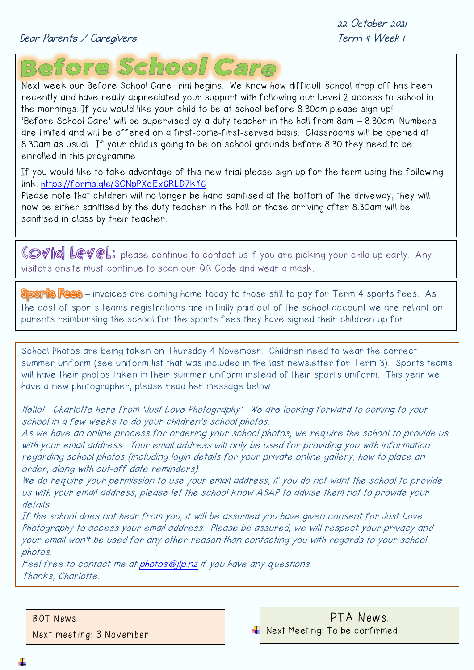

Next week our Before School Care trial begins. We know how difficult school drop off has been recently and have really appreciated your support with following our Level 2 access to school in the mornings. If you would like your child to be at school before 8.30am please sign up! 'Before School Care' will be supervised by a duty teacher in the hall from 8am – 8.30am. Numbers are limited and will be offered on a first-come-first-served basis. Classrooms will be opened at 8.30am as usual. If your child is going to be on school grounds before 8.30 they need to be enrolled in this programme.

If you would like to take advantage of this new trial please sign up for the term using the following link.<https://forms.gle/SCNpPXoEx6RLD7kY6>

Please note that children will no longer be hand sanitised at the bottom of the driveway, they will now be either sanitised by the duty teacher in the hall or those arriving after 8.30am will be sanitised in class by their teacher.

Covid Level: please continue to contact us if you are picking your child up early. Any visitors onsite must continue to scan our QR Code and wear a mask.

**–** invoices are coming home today to those still to pay for Term 4 sports fees. As the cost of sports teams registrations are initially paid out of the school account we are reliant on parents reimbursing the school for the sports fees they have signed their children up for.

School Photos are being taken on Thursday 4 November. Children need to wear the correct summer uniform (see uniform list that was included in the last newsletter for Term 3). Sports teams will have their photos taken in their summer uniform instead of their sports uniform. This year we have a new photographer, please read her message below.

Hello! - Charlotte here from 'Just Love Photography'. We are looking forward to coming to your school in a few weeks to do your children's school photos.

As we have an online process for ordering your school photos, we require the school to provide us with your email address. Your email address will only be used for providing you with information regarding school photos (including login details for your private online gallery, how to place an order, along with cut-off date reminders).

We do require your permission to use your email address, if you do not want the school to provide us with your email address, please let the school know ASAP to advise them not to provide your details.

If the school does not hear from you, it will be assumed you have given consent for Just Love Photography to access your email address. Please be assured, we will respect your privacy and your email won't be used for any other reason than contacting you with regards to your school photos.

Feel free to contact me at photos @jlp.nz if you have any questions. Thanks, Charlotte.

BOT News:

Next meeting: 3 November

PTA News: Next Meeting: To be confirmed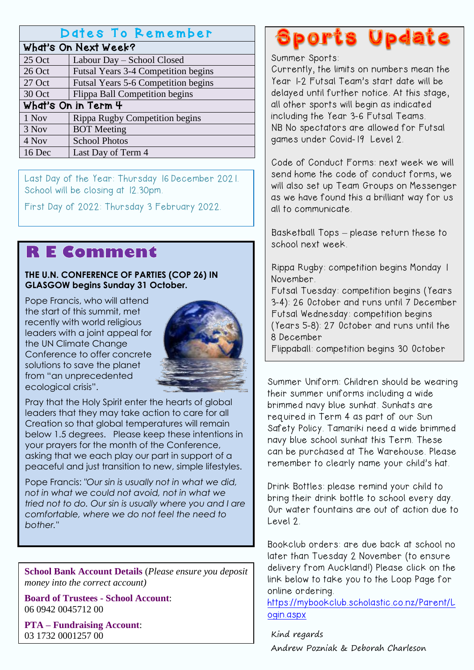#### Dates To Remember

#### What's On Next Week?

| 25 Oct              | Labour Day - School Closed                 |
|---------------------|--------------------------------------------|
| 26 Oct              | <b>Futsal Years 3-4 Competition begins</b> |
| 27 Oct              | Futsal Years 5-6 Competition begins        |
| 30 Oct              | Flippa Ball Competition begins             |
| What's On in Term 4 |                                            |
| 1 Nov               | Rippa Rugby Competition begins             |
| 3 Nov               | <b>BOT</b> Meeting                         |
| 4 Nov               | <b>School Photos</b>                       |
| 16 Dec              | Last Day of Term 4                         |

Last Day of the Year: Thursday 16 December 2021. School will be closing at 12.30pm.

First Day of 2022: Thursday 3 February 2022.

### **RE Comment**

#### **THE U.N. CONFERENCE OF PARTIES (COP 26) IN GLASGOW begins Sunday 31 October.**

Pope Francis, who will attend the start of this summit, met recently with world religious leaders with a joint appeal for the UN Climate Change Conference to offer concrete solutions to save the planet from "an unprecedented ecological crisis".



Pray that the Holy Spirit enter the hearts of global leaders that they may take action to care for all Creation so that global temperatures will remain below 1.5 degrees. Please keep these intentions in your prayers for the month of the Conference, asking that we each play our part in support of a peaceful and just transition to new, simple lifestyles.

Pope Francis: *"Our sin is usually not in what we did, not in what we could not avoid, not in what we tried not to do. Our sin is usually where you and I are comfortable, where we do not feel the need to bother."*

**School Bank Account Details** (*Please ensure you deposit money into the correct account)*

**Board of Trustees - School Account**: 06 0942 0045712 00

**PTA – Fundraising Account**: 03 1732 0001257 00

# **Sports Update**

#### Summer Sports:

Currently, the limits on numbers mean the Year 1-2 Futsal Team's start date will be delayed until further notice. At this stage, all other sports will begin as indicated including the Year 3-6 Futsal Teams. NB No spectators are allowed for Futsal games under Covid-19 Level 2.

Code of Conduct Forms: next week we will send home the code of conduct forms, we will also set up Team Groups on Messenger as we have found this a brilliant way for us all to communicate.

Basketball Tops – please return these to school next week.

Rippa Rugby: competition begins Monday 1 November.

Futsal Tuesday: competition begins (Years 3-4): 26 October and runs until 7 December Futsal Wednesday: competition begins (Years 5-8): 27 October and runs until the 8 December

Flippaball: competition begins 30 October

Summer Uniform: Children should be wearing their summer uniforms including a wide brimmed navy blue sunhat. Sunhats are required in Term 4 as part of our Sun Safety Policy. Tamariki need a wide brimmed navy blue school sunhat this Term. These can be purchased at The Warehouse. Please remember to clearly name your child's hat.

Drink Bottles: please remind your child to bring their drink bottle to school every day. Our water fountains are out of action due to  $leve!2$ 

Bookclub orders: are due back at school no later than Tuesday 2 November (to ensure delivery from Auckland!) Please click on the link below to take you to the Loop Page for online ordering.

[https://mybookclub.scholastic.co.nz/Parent/L](https://mybookclub.scholastic.co.nz/Parent/Login.aspx) [ogin.aspx](https://mybookclub.scholastic.co.nz/Parent/Login.aspx)

Kind regards Andrew Pozniak & Deborah Charleson